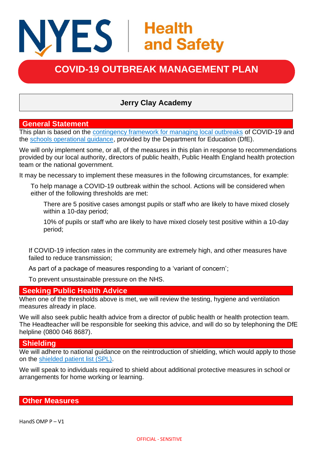# NYES | Health<br>and Safety

## **COVID-19 OUTBREAK MANAGEMENT PLAN**

### **Jerry Clay Academy**

#### **General Statement**

This plan is based on the [contingency framework for managing local outbreaks](https://www.gov.uk/government/publications/coronavirus-covid-19-local-restrictions-in-education-and-childcare-settings) of COVID-19 and the [schools operational guidance,](https://www.gov.uk/government/publications/actions-for-schools-during-the-coronavirus-outbreak) provided by the Department for Education (DfE).

We will only implement some, or all, of the measures in this plan in response to recommendations provided by our local authority, directors of public health, Public Health England health protection team or the national government.

It may be necessary to implement these measures in the following circumstances, for example:

To help manage a COVID-19 outbreak within the school. Actions will be considered when either of the following thresholds are met:

There are 5 positive cases amongst pupils or staff who are likely to have mixed closely within a 10-day period;

10% of pupils or staff who are likely to have mixed closely test positive within a 10-day period;

If COVID-19 infection rates in the community are extremely high, and other measures have failed to reduce transmission;

As part of a package of measures responding to a 'variant of concern';

To prevent unsustainable pressure on the NHS.

#### **Seeking Public Health Advice**

When one of the thresholds above is met, we will review the testing, hygiene and ventilation measures already in place.

We will also seek public health advice from a director of public health or health protection team. The Headteacher will be responsible for seeking this advice, and will do so by telephoning the DfE helpline (0800 046 8687).

#### **Shielding**

We will adhere to national guidance on the reintroduction of shielding, which would apply to those on the [shielded patient list \(SPL\).](https://digital.nhs.uk/coronavirus/shielded-patient-list)

We will speak to individuals required to shield about additional protective measures in school or arrangements for home working or learning.

**Other Measures**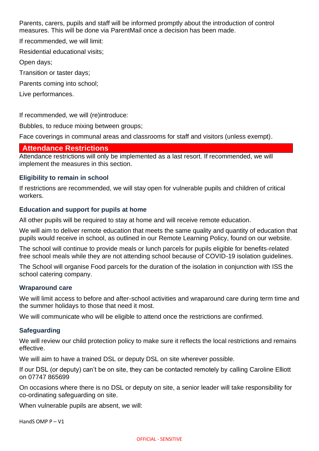Parents, carers, pupils and staff will be informed promptly about the introduction of control measures. This will be done via ParentMail once a decision has been made.

If recommended, we will limit:

Residential educational visits;

Open days;

Transition or taster days;

Parents coming into school;

Live performances.

If recommended, we will (re)introduce:

Bubbles, to reduce mixing between groups;

Face coverings in communal areas and classrooms for staff and visitors (unless exempt).

#### **Attendance Restrictions**

Attendance restrictions will only be implemented as a last resort. If recommended, we will implement the measures in this section.

#### **Eligibility to remain in school**

If restrictions are recommended, we will stay open for vulnerable pupils and children of critical workers.

#### **Education and support for pupils at home**

All other pupils will be required to stay at home and will receive remote education.

We will aim to deliver remote education that meets the same quality and quantity of education that pupils would receive in school, as outlined in our Remote Learning Policy, found on our website.

The school will continue to provide meals or lunch parcels for pupils eligible for benefits-related free school meals while they are not attending school because of COVID-19 isolation guidelines.

The School will organise Food parcels for the duration of the isolation in conjunction with ISS the school catering company.

#### **Wraparound care**

We will limit access to before and after-school activities and wraparound care during term time and the summer holidays to those that need it most.

We will communicate who will be eligible to attend once the restrictions are confirmed.

#### **Safeguarding**

We will review our child protection policy to make sure it reflects the local restrictions and remains effective.

We will aim to have a trained DSL or deputy DSL on site wherever possible.

If our DSL (or deputy) can't be on site, they can be contacted remotely by calling Caroline Elliott on 07747 865699

On occasions where there is no DSL or deputy on site, a senior leader will take responsibility for co-ordinating safeguarding on site.

When vulnerable pupils are absent, we will:

HandS OMP P – V1